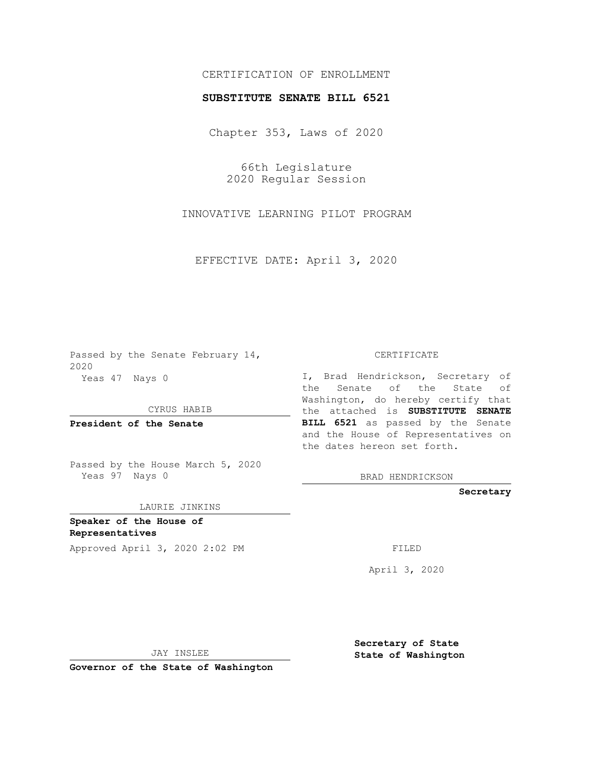## CERTIFICATION OF ENROLLMENT

## **SUBSTITUTE SENATE BILL 6521**

Chapter 353, Laws of 2020

66th Legislature 2020 Regular Session

INNOVATIVE LEARNING PILOT PROGRAM

EFFECTIVE DATE: April 3, 2020

Passed by the Senate February 14, 2020 Yeas 47 Nays 0

CYRUS HABIB

**President of the Senate**

Passed by the House March 5, 2020 Yeas 97 Nays 0

LAURIE JINKINS

**Speaker of the House of Representatives**

Approved April 3, 2020 2:02 PM FILED

CERTIFICATE

I, Brad Hendrickson, Secretary of the Senate of the State of Washington, do hereby certify that the attached is **SUBSTITUTE SENATE BILL 6521** as passed by the Senate and the House of Representatives on the dates hereon set forth.

BRAD HENDRICKSON

**Secretary**

April 3, 2020

JAY INSLEE

**Governor of the State of Washington**

**Secretary of State State of Washington**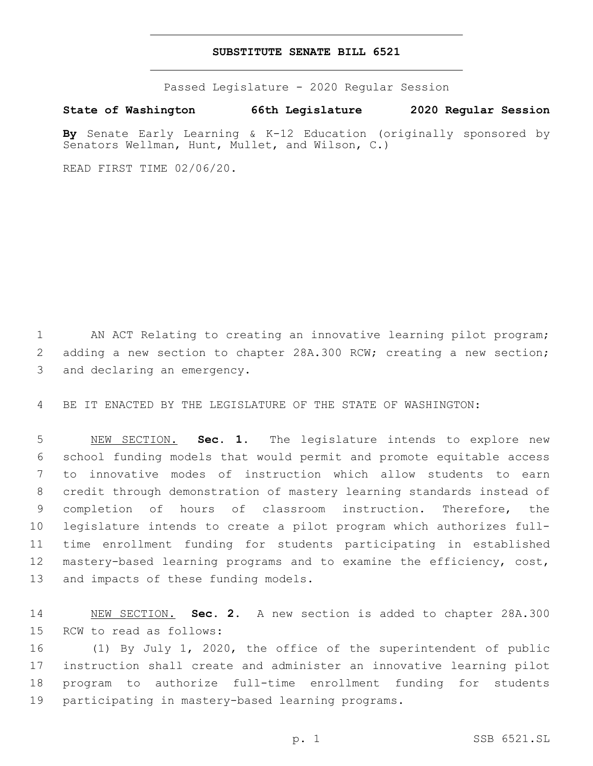## **SUBSTITUTE SENATE BILL 6521**

Passed Legislature - 2020 Regular Session

**State of Washington 66th Legislature 2020 Regular Session**

**By** Senate Early Learning & K-12 Education (originally sponsored by Senators Wellman, Hunt, Mullet, and Wilson, C.)

READ FIRST TIME 02/06/20.

1 AN ACT Relating to creating an innovative learning pilot program; 2 adding a new section to chapter 28A.300 RCW; creating a new section; 3 and declaring an emergency.

4 BE IT ENACTED BY THE LEGISLATURE OF THE STATE OF WASHINGTON:

 NEW SECTION. **Sec. 1.** The legislature intends to explore new school funding models that would permit and promote equitable access to innovative modes of instruction which allow students to earn credit through demonstration of mastery learning standards instead of completion of hours of classroom instruction. Therefore, the legislature intends to create a pilot program which authorizes full- time enrollment funding for students participating in established mastery-based learning programs and to examine the efficiency, cost, and impacts of these funding models.

14 NEW SECTION. **Sec. 2.** A new section is added to chapter 28A.300 15 RCW to read as follows:

 (1) By July 1, 2020, the office of the superintendent of public instruction shall create and administer an innovative learning pilot program to authorize full-time enrollment funding for students 19 participating in mastery-based learning programs.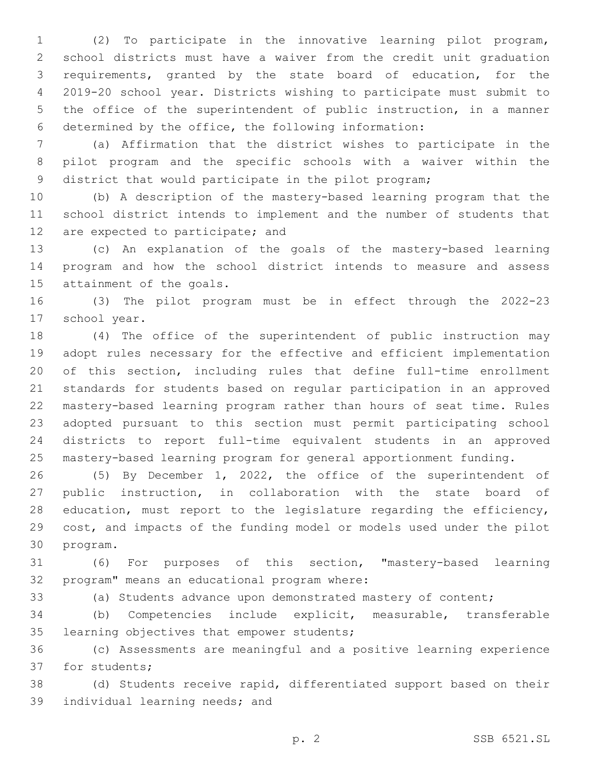(2) To participate in the innovative learning pilot program, school districts must have a waiver from the credit unit graduation requirements, granted by the state board of education, for the 2019-20 school year. Districts wishing to participate must submit to the office of the superintendent of public instruction, in a manner determined by the office, the following information:

 (a) Affirmation that the district wishes to participate in the pilot program and the specific schools with a waiver within the district that would participate in the pilot program;

 (b) A description of the mastery-based learning program that the school district intends to implement and the number of students that 12 are expected to participate; and

 (c) An explanation of the goals of the mastery-based learning program and how the school district intends to measure and assess 15 attainment of the goals.

 (3) The pilot program must be in effect through the 2022-23 17 school year.

 (4) The office of the superintendent of public instruction may adopt rules necessary for the effective and efficient implementation of this section, including rules that define full-time enrollment standards for students based on regular participation in an approved mastery-based learning program rather than hours of seat time. Rules adopted pursuant to this section must permit participating school districts to report full-time equivalent students in an approved mastery-based learning program for general apportionment funding.

 (5) By December 1, 2022, the office of the superintendent of public instruction, in collaboration with the state board of 28 education, must report to the legislature regarding the efficiency, cost, and impacts of the funding model or models used under the pilot 30 program.

 (6) For purposes of this section, "mastery-based learning 32 program" means an educational program where:

(a) Students advance upon demonstrated mastery of content;

 (b) Competencies include explicit, measurable, transferable 35 learning objectives that empower students;

 (c) Assessments are meaningful and a positive learning experience 37 for students;

 (d) Students receive rapid, differentiated support based on their 39 individual learning needs; and